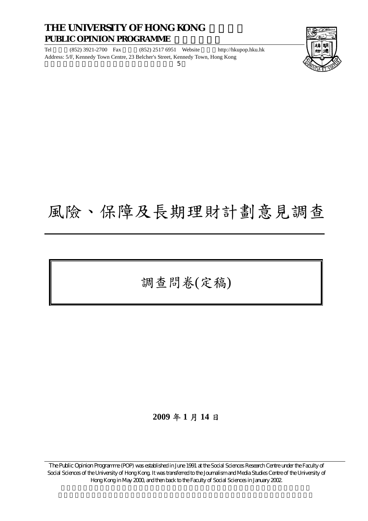#### **THE UNIVERSITY OF HONG KONG PUBLIC OPINION PROGRAMME**

Tel (852) 3921-2700 Fax (852) 2517 6951 Website http://hkupop.hku.hk Address: 5/F, Kennedy Town Centre, 23 Belcher's Street, Kennedy Town, Hong Kong  $5\,$ 



# 風險、保障及長期理財計劃意見調查

調查問卷(定稿)

#### **2009** 年 **1** 月 **14** 日

The Public Opinion Programme (POP) was established in June 1991 at the Social Sciences Research Centre under the Faculty of Social Sciences of the University of Hong Kong. It was transferred to the Journalism and Media Studies Centre of the University of Hong Kong in May 2000, and then back to the Faculty of Social Sciences in January 2002.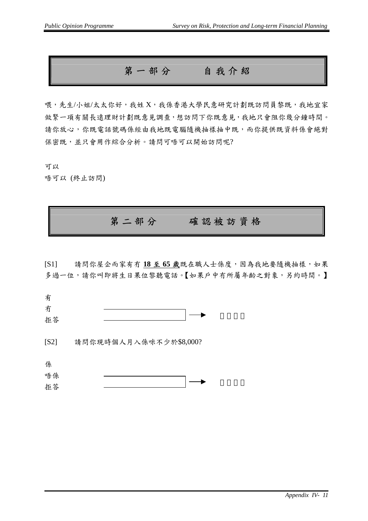第一部分自我介紹

喂,先生/小姐/太太你好,我姓 X,我係香港大學民意研究計劃既訪問員黎既,我地宜家 做緊一項有關長遠理財計劃既意見調查,想訪問下你既意見,我地只會阻你幾分鐘時間。 請你放心,你既電話號碼係經由我地既電腦隨機抽樣抽中既,而你提供既資料係會絕對 保密既,並只會用作綜合分析。請問可唔可以開始訪問呢?

可以

唔可以 (終止訪問)

#### 第二部分確認被訪資格

[S1] 請問你屋企而家有冇 **18** 至 **65** 歲既在職人士係度,因為我地要隨機抽樣,如果 多過一位,請你叫即將生日果位黎聽電話。【如果戶中冇所屬年齡之對象,另約時間。】

| . . |  |  |
|-----|--|--|
| 拒答  |  |  |

[S2] 請問你現時個人月入係咪不少於\$8,000?

係 唔係 拒答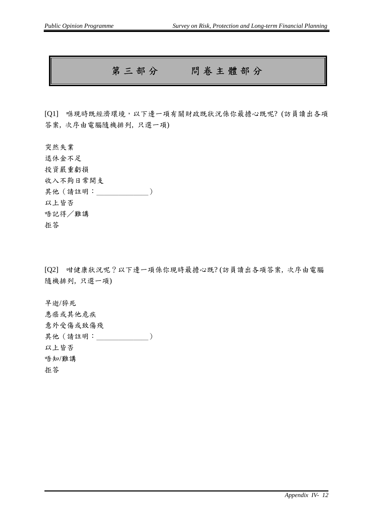### 第三部分問卷主體部分

[Q1] 喺現時既經濟環境,以下邊一項有關財政既狀況係你最擔心既呢? (訪員讀出各項 答案, 次序由電腦隨機排列, 只選一項)

突然失業 退休金不足 投資嚴重虧損 收入不夠日常開支 其他 (請註明: \_\_\_\_\_\_\_\_\_\_\_\_) 以上皆否 唔記得/難講 拒答

[Q2] 咁健康狀況呢?以下邊一項係你現時最擔心既? (訪員讀出各項答案, 次序由電腦 隨機排列, 只選一項)

早逝/猝死 患癌或其他危疾 意外受傷或致傷殘 其他(請註明: \_\_\_\_\_\_\_\_\_\_\_) 以上皆否 唔知/難講 拒答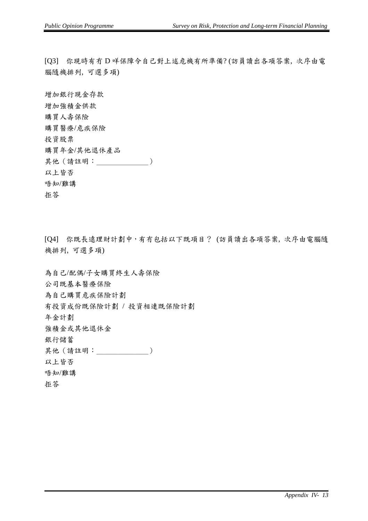[Q3] 你現時有冇 D 咩保障令自己對上述危機有所準備? (訪員讀出各項答案, 次序由電 腦隨機排列, 可選多項)

增加銀行現金存款 增加強積金供款 購買人壽保險 購買醫療/危疾保險 投資股票 購買年金/其他退休產品 其他(請註明: ) 以上皆否 唔知/難講 拒答

[Q4] 你既長遠理財計劃中,有冇包括以下既項目? (訪員讀出各項答案, 次序由電腦隨 機排列, 可選多項)

為自己/配偶/子女購買終生人壽保險 公司既基本醫療保險 為自己購買危疾保險計劃 有投資成份既保險計劃 / 投資相連既保險計劃 年金計劃 強積金或其他退休金 銀行儲蓄 其他(請註明: ) 以上皆否 唔知/難講 拒答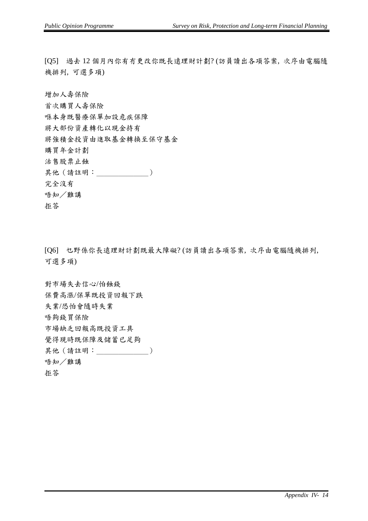[Q5] 過去 12 個月內你有冇更改你既長遠理財計劃? (訪員讀出各項答案, 次序由電腦隨 機排列, 可選多項)

增加人壽保險

首次購買人壽保險 喺本身既醫療保單加設危疾保障 將大部份資產轉化以現金持有 將強積金投資由進取基金轉換至保守基金 購買年金計劃 沽售股票止蝕 其他(請註明: ) 完全沒有 唔知/難講

拒答

[Q6] 乜野係你長遠理財計劃既最大障礙? (訪員讀出各項答案, 次序由電腦隨機排列, 可選多項)

對市場失去信心/怕蝕錢 保費高漲/保單既投資回報下跌 失業/恐怕會隨時失業 唔夠錢買保險 市場缺乏回報高既投資工具 覺得現時既保障及儲蓄已足夠 其他(請註明: ) 唔知/難講 拒答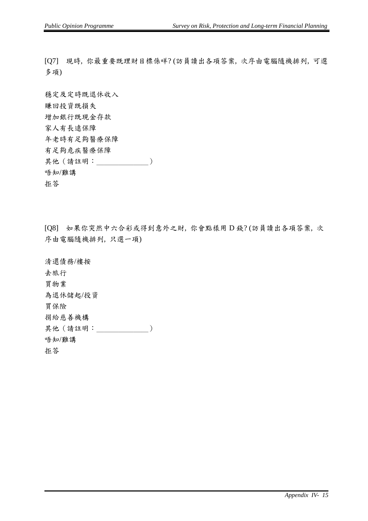[Q7] 現時, 你最重要既理財目標係咩? (訪員讀出各項答案, 次序由電腦隨機排列, 可選 多項)

穩定及定時既退休收入 賺回投資既損失 增加銀行既現金存款 家人有長遠保障 年老時有足夠醫療保障 有足夠危疾醫療保障 其他(請註明: ) 唔知/難講 拒答

[Q8] 如果你突然中六合彩或得到意外之財, 你會點樣用 D 錢? (訪員讀出各項答案, 次 序由電腦隨機排列, 只選一項)

清還債務/樓按 去旅行 買物業 為退休儲起/投資 買保險 捐給慈善機構 其他(請註明: ) 唔知/難講 拒答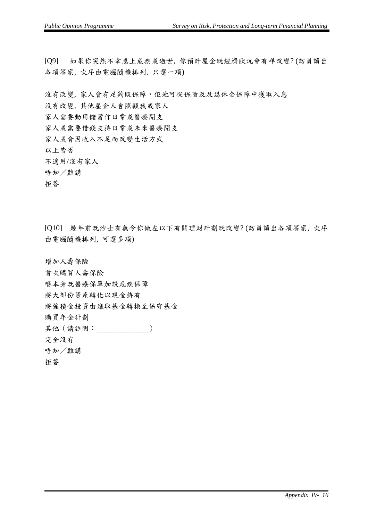[Q9] 如果你突然不幸患上危疾或逝世, 你預計屋企既經濟狀況會有咩改變? (訪員讀出 各項答案, 次序由電腦隨機排列, 只選一項)

沒有改變, 家人會有足夠既保障, 佢地可從保險及及退休金保障中獲取入息

沒有改變, 其他屋企人會照顧我或家人

家人需要動用儲蓄作日常或醫療開支

家人或需要借錢支持日常或未來醫療開支

家人或會因收入不足而改變生活方式

以上皆否

不適用/沒有家人

唔知/難講

拒答

[Q10] 幾年前既沙士有無令你做左以下有關理財計劃既改變? (訪員讀出各項答案, 次序 由電腦隨機排列, 可選多項)

增加人壽保險

首次購買人壽保險

喺本身既醫療保單加設危疾保障

將大部份資產轉化以現金持有

將強積金投資由進取基金轉換至保守基金

購買年金計劃

其他(請註明: )

完全沒有

唔知/難講

拒答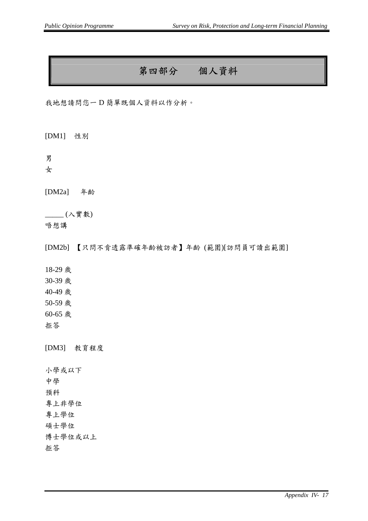## 第四部分個人資料

我地想請問您一 D 簡單既個人資料以作分析。

[DM1] 性別

男

女

[DM2a] 年齡

\_\_\_\_\_ (入實數)

唔想講

[DM2b] 【只問不肯透露準確年齡被訪者】年齡 (範圍)[訪問員可讀出範圍]

18-29 歲

30-39 歲

40-49 歲

50-59 歲

60-65 歲

拒答

[DM3] 教育程度

小學或以下 中學 預科 專上非學位 專上學位 碩士學位 博士學位或以上 拒答